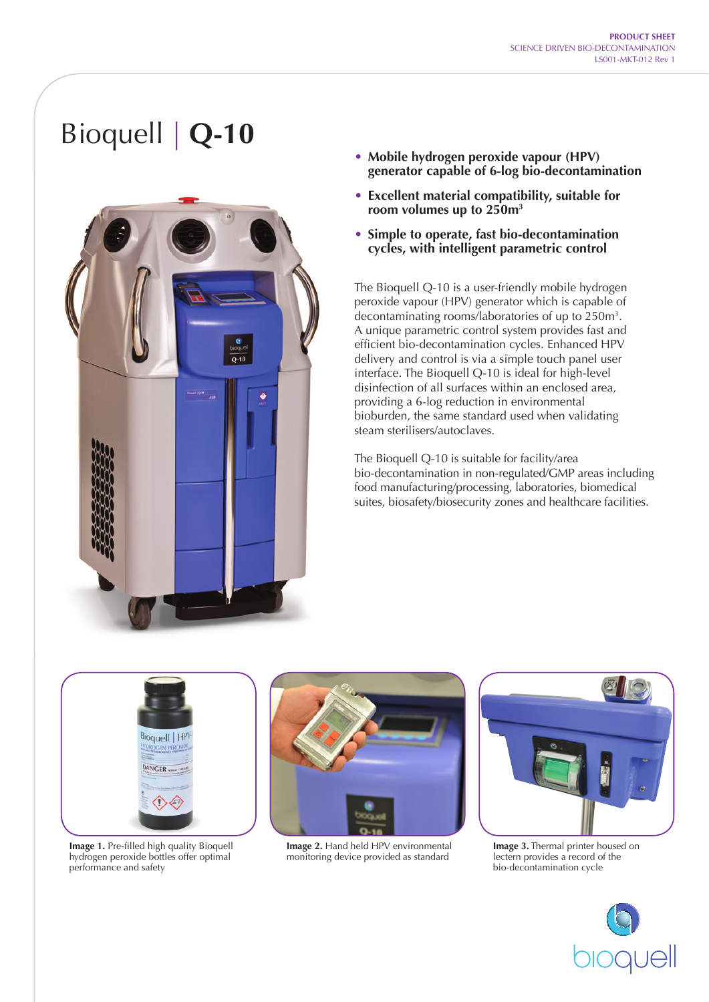# Bioquell | **Q-10**



- **• Mobile hydrogen peroxide vapour (HPV) generator capable of 6-log bio-decontamination**
- **• Excellent material compatibility, suitable for room volumes up to 250m3**
- **• Simple to operate, fast bio-decontamination cycles, with intelligent parametric control**

The Bioquell Q-10 is a user-friendly mobile hydrogen peroxide vapour (HPV) generator which is capable of decontaminating rooms/laboratories of up to 250m3 . A unique parametric control system provides fast and efficient bio-decontamination cycles. Enhanced HPV delivery and control is via a simple touch panel user interface. The Bioquell Q-10 is ideal for high-level disinfection of all surfaces within an enclosed area, providing a 6-log reduction in environmental bioburden, the same standard used when validating steam sterilisers/autoclaves.

The Bioquell Q-10 is suitable for facility/area bio-decontamination in non-regulated/GMP areas including food manufacturing/processing, laboratories, biomedical suites, biosafety/biosecurity zones and healthcare facilities.



**Image 1.** Pre-filled high quality Bioquell hydrogen peroxide bottles offer optimal performance and safety



**Image 2.** Hand held HPV environmental monitoring device provided as standard



**Image 3.** Thermal printer housed on lectern provides a record of the bio-decontamination cycle